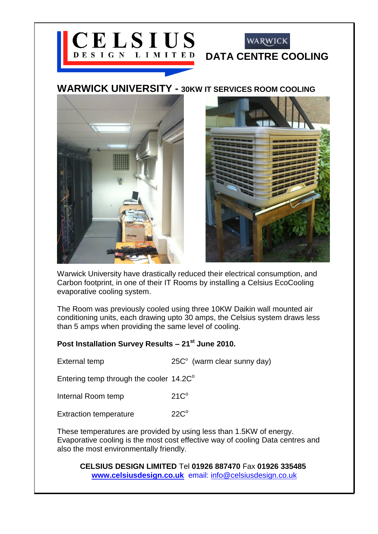

**WARWICK UNIVERSITY - 30KW IT SERVICES ROOM COOLING**





Warwick University have drastically reduced their electrical consumption, and Carbon footprint, in one of their IT Rooms by installing a Celsius EcoCooling evaporative cooling system.

The Room was previously cooled using three 10KW Daikin wall mounted air conditioning units, each drawing upto 30 amps, the Celsius system draws less than 5 amps when providing the same level of cooling.

## **Post Installation Survey Results – 21st June 2010.**

External temp  $25C<sup>o</sup>$  (warm clear sunny day)

Entering temp through the cooler  $14.2C^{\circ}$ 

Internal Room temp 21C°

 $Extraction$  temperature  $22C^{\circ}$ 

These temperatures are provided by using less than 1.5KW of energy. Evaporative cooling is the most cost effective way of cooling Data centres and also the most environmentally friendly.

**CELSIUS DESIGN LIMITED** Tel **01926 887470** Fax **01926 335485 [www.celsiusdesign.co.uk](http://www.celsiusdesign.co.uk/)** email: info@celsiusdesign.co.uk